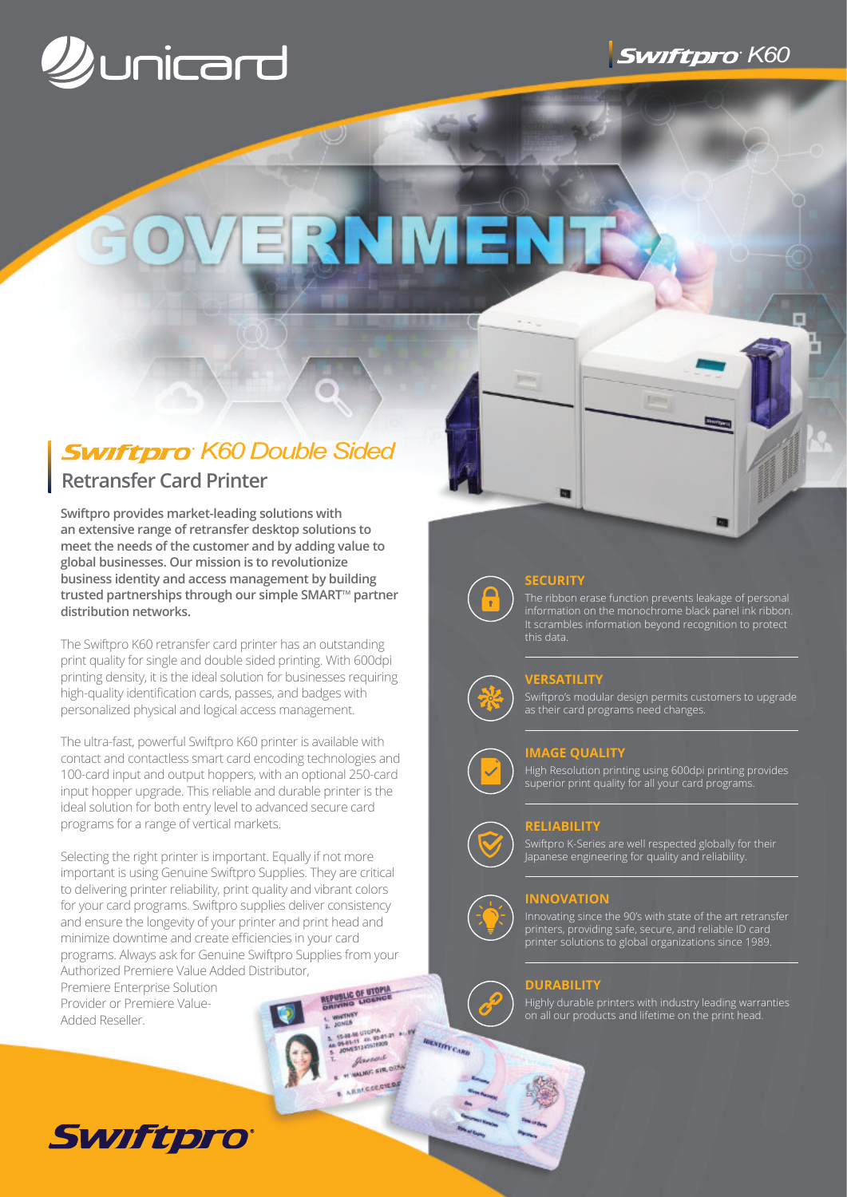

# ERNMEN

# *<u>Swiftpro</u>* K60 Double Sided

# **Retransfer Card Printer**

**Swiftpro provides market-leading solutions with an extensive range of retransfer desktop solutions to meet the needs of the customer and by adding value to global businesses. Our mission is to revolutionize business identity and access management by building** trusted partnerships through our simple SMART<sup>™</sup> partner **distribution networks.**

The Swiftpro K60 retransfer card printer has an outstanding print quality for single and double sided printing. With 600dpi printing density, it is the ideal solution for businesses requiring high-quality identification cards, passes, and badges with personalized physical and logical access management.

The ultra-fast, powerful Swiftpro K60 printer is available with contact and contactless smart card encoding technologies and 100-card input and output hoppers, with an optional 250-card input hopper upgrade. This reliable and durable printer is the ideal solution for both entry level to advanced secure card programs for a range of vertical markets.

Selecting the right printer is important. Equally if not more important is using Genuine Swiftpro Supplies. They are critical to delivering printer reliability, print quality and vibrant colors for your card programs. Swiftpro supplies deliver consistency and ensure the longevity of your printer and print head and minimize downtime and create efficiencies in your card programs. Always ask for Genuine Swiftpro Supplies from your Authorized Premiere Value Added Distributor,

Premiere Enterprise Solution Provider or Premiere Value-Added Reseller.



# **SECURITY**

The ribbon erase function prevents leakage of personal information on the monochrome black panel ink ribbon. It scrambles information beyond recognition to protect this data.

 $1 -$ 

# **VERSATILITY**

Swiftpro's modular design permits customers to upgrade as their card programs need changes.

# **IMAGE QUALITY**

High Resolution printing using 600dpi printing provides superior print quality for all your card programs.

### **RELIABILITY**

Swiftpro K-Series are well respected globally for their Japanese engineering for quality and reliability.



**IGENTRY CARD** 

**WIT STR.** ARSTCCCCHEOR

# **INNOVATION**

Innovating since the 90's with state of the art retransfer printers, providing safe, secure, and reliable ID card printer solutions to global organizations since 1989.

# **DURABILITY**

Highly durable printers with industry leading warranties on all our products and lifetime on the print head.